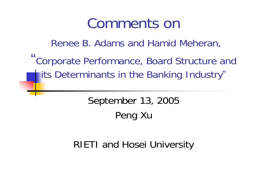## Comments on

Renee B. Adams and Hamid Meheran, "Corporate Performance, Board Structure and its Determinants in the Banking Industry "

> September 13, 2005 Peng Xu

RIETI and Hosei University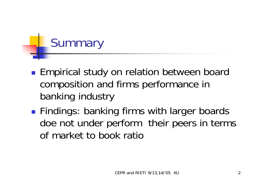# **Summary**

- $\mathbb{R}^3$ **Empirical study on relation between board** composition and firms performance in banking industry
- $\mathbb{R}^3$ **Findings: banking firms with larger boards** doe not under perform their peers in terms of market to book ratio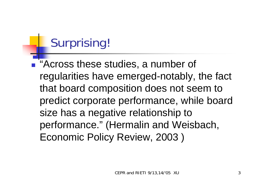## Surprising!

**E** "Across these studies, a number of regularities have emerged-notably, the fact that board composition does not seem to predict corporate performance, while board size has a negative relationship to performance." (Hermalin and Weisbach, Economic Policy Review, 2003 )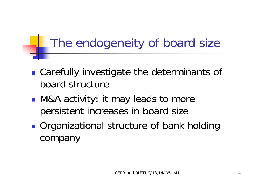### The endogeneity of board size

- $\mathbb{R}^3$ ■ Carefully investigate the determinants of board structure
- $\mathbb{R}^3$ ■ M&A activity: it may leads to more persistent increases in board size
- $\mathbb{R}^3$ ■ Organizational structure of bank holding company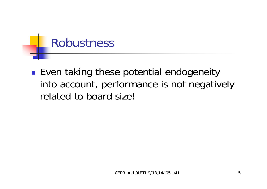#### Robustness

 $\mathbb{R}^3$ **E** Even taking these potential endogeneity into account, performance is not negatively related to board size!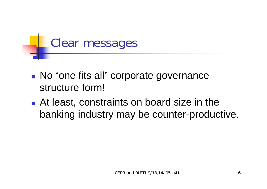

- **No "one fits all" corporate governance** structure form!
- **At least, constraints on board size in the** banking industry may be counter-productive.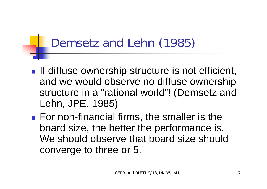#### Demsetz and Lehn (1985)

- **If diffuse ownership structure is not efficient,** and we would observe no diffuse ownership structure in a "rational world"! (Demsetz and Lehn, JPE, 1985)
- **For non-financial firms, the smaller is the** board size, the better the performance is. We should observe that board size should converge to three or 5.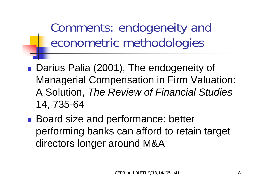Comments: endogeneity and econometric methodologies

- Darius Palia (2001), The endogeneity of Managerial Compensation in Firm Valuation: A Solution, *The Review of Financial Studies* 14, 735-64
- Board size and performance: better performing banks can afford to retain target directors longer around M&A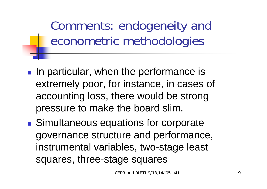Comments: endogeneity and econometric methodologies

- **IF In particular, when the performance is** extremely poor, for instance, in cases of accounting loss, there would be strong pressure to make the board slim.
- Simultaneous equations for corporate governance structure and performance, instrumental variables, two-stage least squares, three-stage squares